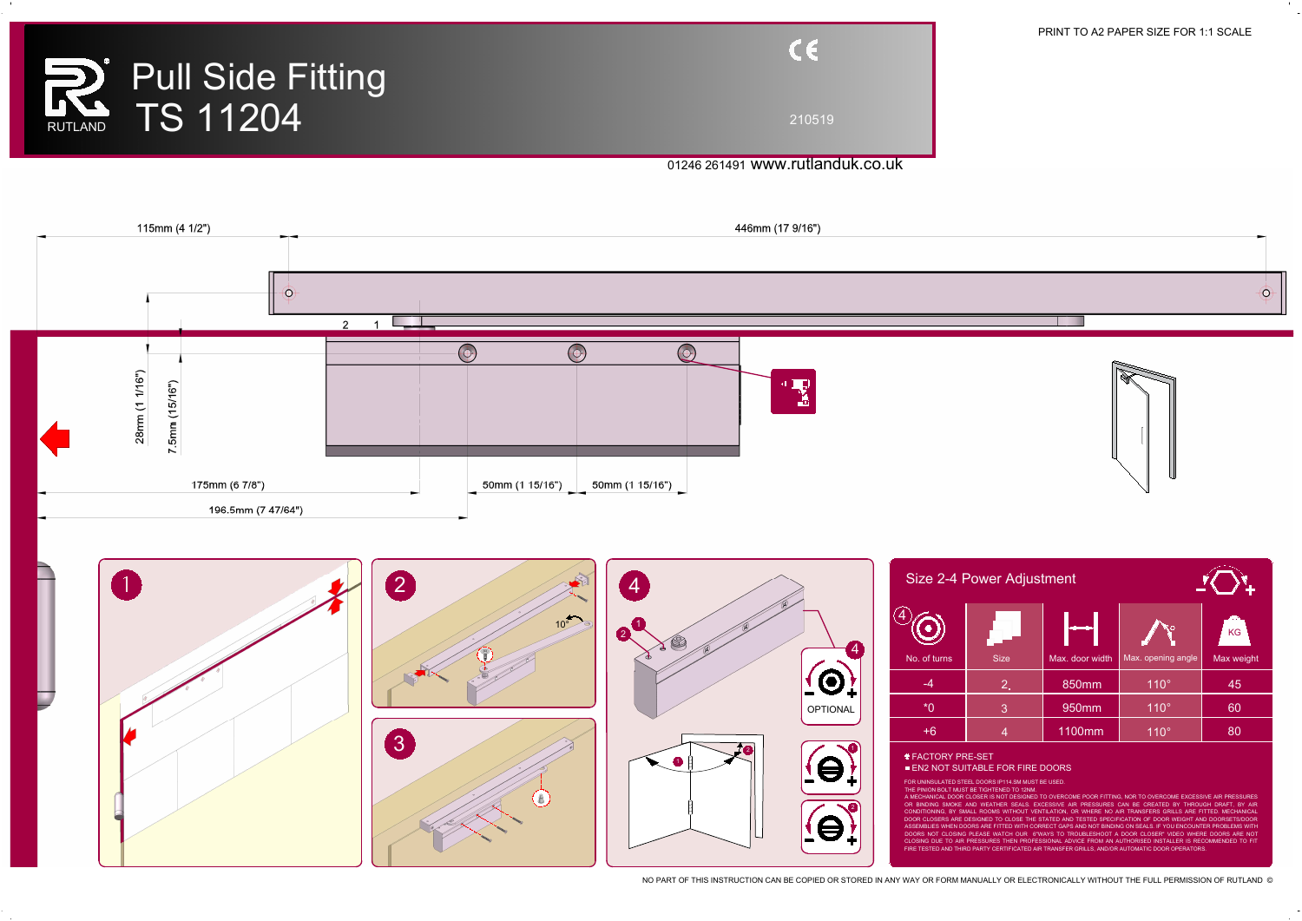

| $C \in$ |  |
|---------|--|
| 210519  |  |





## PRINT TO A2 PAPER SIZE FOR 1:1 SCALE

NO PART OF THIS INSTRUCTION CAN BE COPIED OR STORED IN ANY WAY OR FORM MANUALLY OR ELECTRONICALLY WITHOUT THE FULL PERMISSION OF RUTLAND ©

|                           |              | Size 2-4 Power Adjustment |                 |                    |            |  |
|---------------------------|--------------|---------------------------|-----------------|--------------------|------------|--|
| $\boldsymbol{4}^\text{-}$ |              |                           |                 |                    | KG         |  |
|                           | No. of turns | <b>Size</b>               | Max. door width | Max. opening angle | Max weight |  |
|                           |              | $2_{\bullet}$             | 850mm           | $110^\circ$        | 45         |  |
|                           | $*0$         | $\overline{3}$            | 950mm           | $110^\circ$        | 60         |  |
|                           | $+6$         | $\overline{4}$            | 1100mm          | $110^\circ$        | 80         |  |
|                           |              |                           |                 |                    |            |  |

FACTORY PRE-SET

**EN2 NOT SUITABLE FOR FIRE DOORS** 

FOR UNINSULATED STEEL DOORS IP114.SM MUST BE USED.

THE PINION BOLT MUST BE TIGHTENED TO 12NM.

A MECHANICAL DOOR CLOSER IS NOT DESIGNED TO OVERCOME POOR FITTING, NOR TO OVERCOME EXCESSIVE AIR PRESSURES OR BINDING SMOKE AND WEATHER SEALS. EXCESSIVE AIR PRESSURES CAN BE CREATED BY THROUGH DRAFT, BY AIR CONDITIONING, BY SMALL ROOMS WITHOUT VENTILATION, OR WHERE NO AIR TRANSFERS GRILLS ARE FITTED. MECHANICAL DOOR CLOSERS ARE DESIGNED TO CLOSE THE STATED AND TESTED SPECIFICATION OF DOOR WEIGHT AND DOORSETS/DOOR ASSEMBLIES WHEN DOORS ARE FITTED WITH CORRECT GAPS AND NOT BINDING ON SEALS. IF YOU ENCOUNTER PROBLEMS WITH DOORS NOT CLOSING PLEASE WATCH OUR 6"WAYS TO TROUBLESHOOT A DOOR CLOSER" VIDEO WHERE DOORS ARE NOT CLOSING DUE TO AIR PRESSURES THEN PROFESSIONAL ADVICE FROM AN AUTHORISED INSTALLER IS RECOMMENDED TO FIT FIRE TESTED AND THIRD PARTY CERTIFICATED AIR TRANSFER GRILLS, AND/OR AUTOMATIC DOOR OPERATORS.

## 01246 261491 www.rutlanduk.co.uk